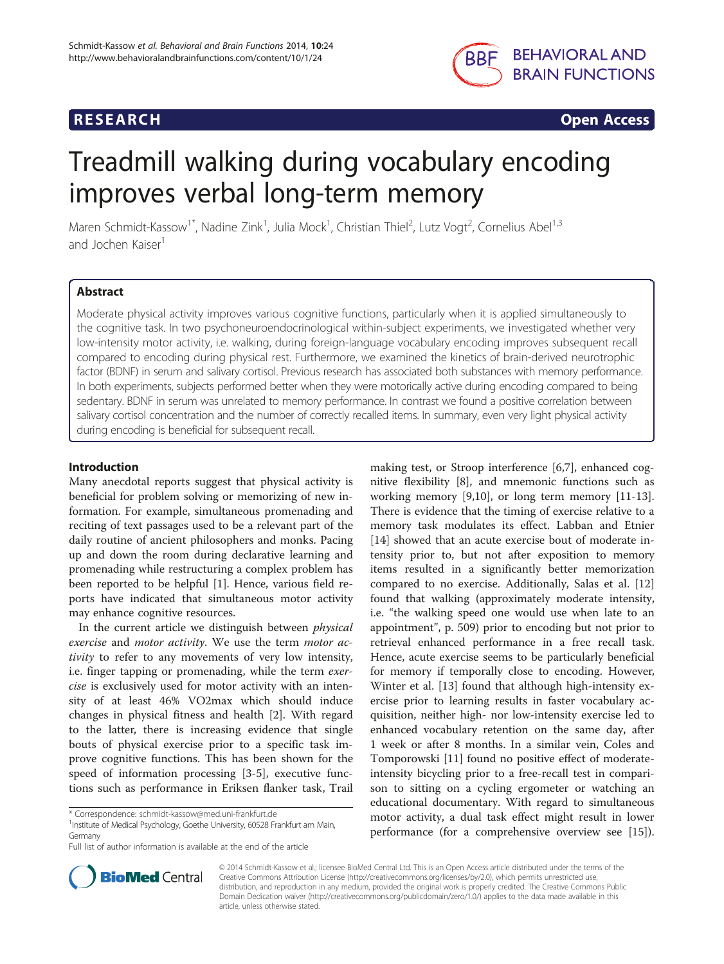# **RESEARCH RESEARCH CONSUMING ACCESS**



# Treadmill walking during vocabulary encoding improves verbal long-term memory

Maren Schmidt-Kassow<sup>1\*</sup>, Nadine Zink<sup>1</sup>, Julia Mock<sup>1</sup>, Christian Thiel<sup>2</sup>, Lutz Vogt<sup>2</sup>, Cornelius Abel<sup>1,3</sup> and Jochen Kaiser<sup>1</sup>

# Abstract

Moderate physical activity improves various cognitive functions, particularly when it is applied simultaneously to the cognitive task. In two psychoneuroendocrinological within-subject experiments, we investigated whether very low-intensity motor activity, i.e. walking, during foreign-language vocabulary encoding improves subsequent recall compared to encoding during physical rest. Furthermore, we examined the kinetics of brain-derived neurotrophic factor (BDNF) in serum and salivary cortisol. Previous research has associated both substances with memory performance. In both experiments, subjects performed better when they were motorically active during encoding compared to being sedentary. BDNF in serum was unrelated to memory performance. In contrast we found a positive correlation between salivary cortisol concentration and the number of correctly recalled items. In summary, even very light physical activity during encoding is beneficial for subsequent recall.

# Introduction

Many anecdotal reports suggest that physical activity is beneficial for problem solving or memorizing of new information. For example, simultaneous promenading and reciting of text passages used to be a relevant part of the daily routine of ancient philosophers and monks. Pacing up and down the room during declarative learning and promenading while restructuring a complex problem has been reported to be helpful [[1\]](#page-7-0). Hence, various field reports have indicated that simultaneous motor activity may enhance cognitive resources.

In the current article we distinguish between physical exercise and motor activity. We use the term motor activity to refer to any movements of very low intensity, i.e. finger tapping or promenading, while the term exercise is exclusively used for motor activity with an intensity of at least 46% VO2max which should induce changes in physical fitness and health [[2\]](#page-7-0). With regard to the latter, there is increasing evidence that single bouts of physical exercise prior to a specific task improve cognitive functions. This has been shown for the speed of information processing [\[3](#page-7-0)-[5\]](#page-7-0), executive functions such as performance in Eriksen flanker task, Trail

making test, or Stroop interference [\[6,7](#page-7-0)], enhanced cognitive flexibility [\[8](#page-7-0)], and mnemonic functions such as working memory [[9](#page-7-0),[10](#page-7-0)], or long term memory [\[11-13](#page-7-0)]. There is evidence that the timing of exercise relative to a memory task modulates its effect. Labban and Etnier [[14\]](#page-7-0) showed that an acute exercise bout of moderate intensity prior to, but not after exposition to memory items resulted in a significantly better memorization compared to no exercise. Additionally, Salas et al. [[12](#page-7-0)] found that walking (approximately moderate intensity, i.e. "the walking speed one would use when late to an appointment", p. 509) prior to encoding but not prior to retrieval enhanced performance in a free recall task. Hence, acute exercise seems to be particularly beneficial for memory if temporally close to encoding. However, Winter et al. [[13\]](#page-7-0) found that although high-intensity exercise prior to learning results in faster vocabulary acquisition, neither high- nor low-intensity exercise led to enhanced vocabulary retention on the same day, after 1 week or after 8 months. In a similar vein, Coles and Tomporowski [\[11\]](#page-7-0) found no positive effect of moderateintensity bicycling prior to a free-recall test in comparison to sitting on a cycling ergometer or watching an educational documentary. With regard to simultaneous motor activity, a dual task effect might result in lower performance (for a comprehensive overview see [\[15](#page-7-0)]).



© 2014 Schmidt-Kassow et al.; licensee BioMed Central Ltd. This is an Open Access article distributed under the terms of the Creative Commons Attribution License (<http://creativecommons.org/licenses/by/2.0>), which permits unrestricted use, distribution, and reproduction in any medium, provided the original work is properly credited. The Creative Commons Public Domain Dedication waiver [\(http://creativecommons.org/publicdomain/zero/1.0/\)](http://creativecommons.org/publicdomain/zero/1.0/) applies to the data made available in this article, unless otherwise stated.

<sup>\*</sup> Correspondence: [schmidt-kassow@med.uni-frankfurt.de](mailto:schmidt-kassow@med.uni-frankfurt.de) <sup>1</sup>

 $1$ Institute of Medical Psychology, Goethe University, 60528 Frankfurt am Main, Germany

Full list of author information is available at the end of the article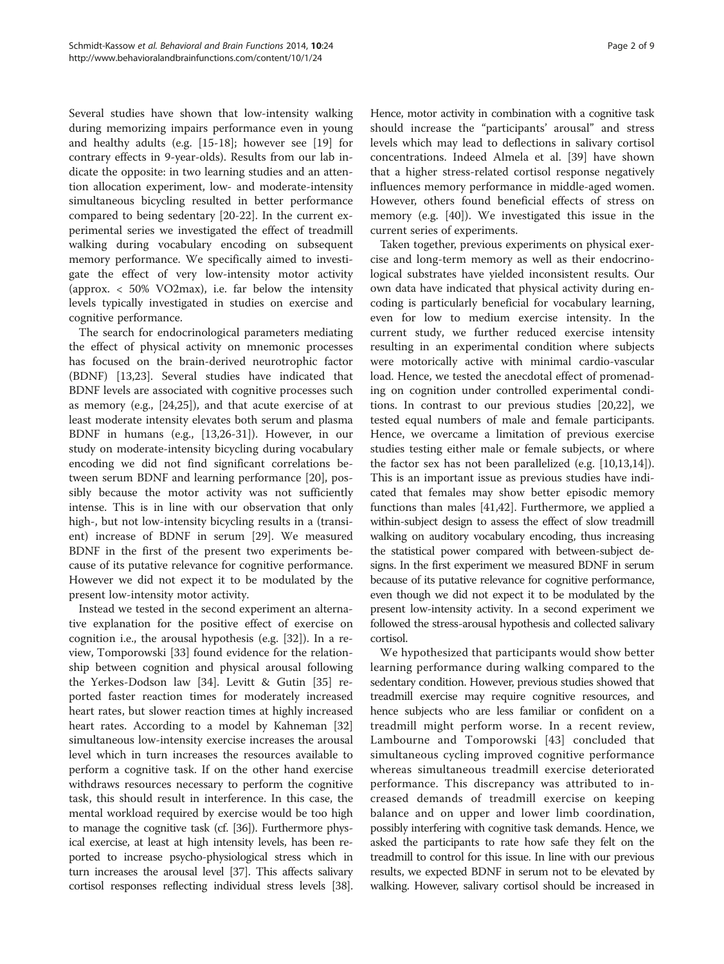Several studies have shown that low-intensity walking during memorizing impairs performance even in young and healthy adults (e.g. [\[15](#page-7-0)-[18\]](#page-7-0); however see [[19](#page-7-0)] for contrary effects in 9-year-olds). Results from our lab indicate the opposite: in two learning studies and an attention allocation experiment, low- and moderate-intensity simultaneous bicycling resulted in better performance compared to being sedentary [[20](#page-7-0)-[22\]](#page-7-0). In the current experimental series we investigated the effect of treadmill walking during vocabulary encoding on subsequent memory performance. We specifically aimed to investigate the effect of very low-intensity motor activity (approx.  $\langle$  50% VO2max), i.e. far below the intensity levels typically investigated in studies on exercise and cognitive performance.

The search for endocrinological parameters mediating the effect of physical activity on mnemonic processes has focused on the brain-derived neurotrophic factor (BDNF) [[13,23\]](#page-7-0). Several studies have indicated that BDNF levels are associated with cognitive processes such as memory (e.g., [[24,25\]](#page-7-0)), and that acute exercise of at least moderate intensity elevates both serum and plasma BDNF in humans (e.g., [[13](#page-7-0),[26](#page-7-0)-[31\]](#page-7-0)). However, in our study on moderate-intensity bicycling during vocabulary encoding we did not find significant correlations between serum BDNF and learning performance [\[20](#page-7-0)], possibly because the motor activity was not sufficiently intense. This is in line with our observation that only high-, but not low-intensity bicycling results in a (transient) increase of BDNF in serum [\[29](#page-7-0)]. We measured BDNF in the first of the present two experiments because of its putative relevance for cognitive performance. However we did not expect it to be modulated by the present low-intensity motor activity.

Instead we tested in the second experiment an alternative explanation for the positive effect of exercise on cognition i.e., the arousal hypothesis (e.g. [\[32\]](#page-7-0)). In a review, Tomporowski [\[33\]](#page-7-0) found evidence for the relationship between cognition and physical arousal following the Yerkes-Dodson law [\[34](#page-7-0)]. Levitt & Gutin [\[35](#page-7-0)] reported faster reaction times for moderately increased heart rates, but slower reaction times at highly increased heart rates. According to a model by Kahneman [[32](#page-7-0)] simultaneous low-intensity exercise increases the arousal level which in turn increases the resources available to perform a cognitive task. If on the other hand exercise withdraws resources necessary to perform the cognitive task, this should result in interference. In this case, the mental workload required by exercise would be too high to manage the cognitive task (cf. [\[36\]](#page-7-0)). Furthermore physical exercise, at least at high intensity levels, has been reported to increase psycho-physiological stress which in turn increases the arousal level [[37](#page-7-0)]. This affects salivary cortisol responses reflecting individual stress levels [\[38](#page-7-0)]. Hence, motor activity in combination with a cognitive task should increase the "participants' arousal" and stress levels which may lead to deflections in salivary cortisol concentrations. Indeed Almela et al. [\[39](#page-7-0)] have shown that a higher stress-related cortisol response negatively influences memory performance in middle-aged women. However, others found beneficial effects of stress on memory (e.g. [\[40](#page-8-0)]). We investigated this issue in the current series of experiments.

Taken together, previous experiments on physical exercise and long-term memory as well as their endocrinological substrates have yielded inconsistent results. Our own data have indicated that physical activity during encoding is particularly beneficial for vocabulary learning, even for low to medium exercise intensity. In the current study, we further reduced exercise intensity resulting in an experimental condition where subjects were motorically active with minimal cardio-vascular load. Hence, we tested the anecdotal effect of promenading on cognition under controlled experimental conditions. In contrast to our previous studies [[20,22\]](#page-7-0), we tested equal numbers of male and female participants. Hence, we overcame a limitation of previous exercise studies testing either male or female subjects, or where the factor sex has not been parallelized (e.g. [\[10,13,14](#page-7-0)]). This is an important issue as previous studies have indicated that females may show better episodic memory functions than males [\[41,42\]](#page-8-0). Furthermore, we applied a within-subject design to assess the effect of slow treadmill walking on auditory vocabulary encoding, thus increasing the statistical power compared with between-subject designs. In the first experiment we measured BDNF in serum because of its putative relevance for cognitive performance, even though we did not expect it to be modulated by the present low-intensity activity. In a second experiment we followed the stress-arousal hypothesis and collected salivary cortisol.

We hypothesized that participants would show better learning performance during walking compared to the sedentary condition. However, previous studies showed that treadmill exercise may require cognitive resources, and hence subjects who are less familiar or confident on a treadmill might perform worse. In a recent review, Lambourne and Tomporowski [[43\]](#page-8-0) concluded that simultaneous cycling improved cognitive performance whereas simultaneous treadmill exercise deteriorated performance. This discrepancy was attributed to increased demands of treadmill exercise on keeping balance and on upper and lower limb coordination, possibly interfering with cognitive task demands. Hence, we asked the participants to rate how safe they felt on the treadmill to control for this issue. In line with our previous results, we expected BDNF in serum not to be elevated by walking. However, salivary cortisol should be increased in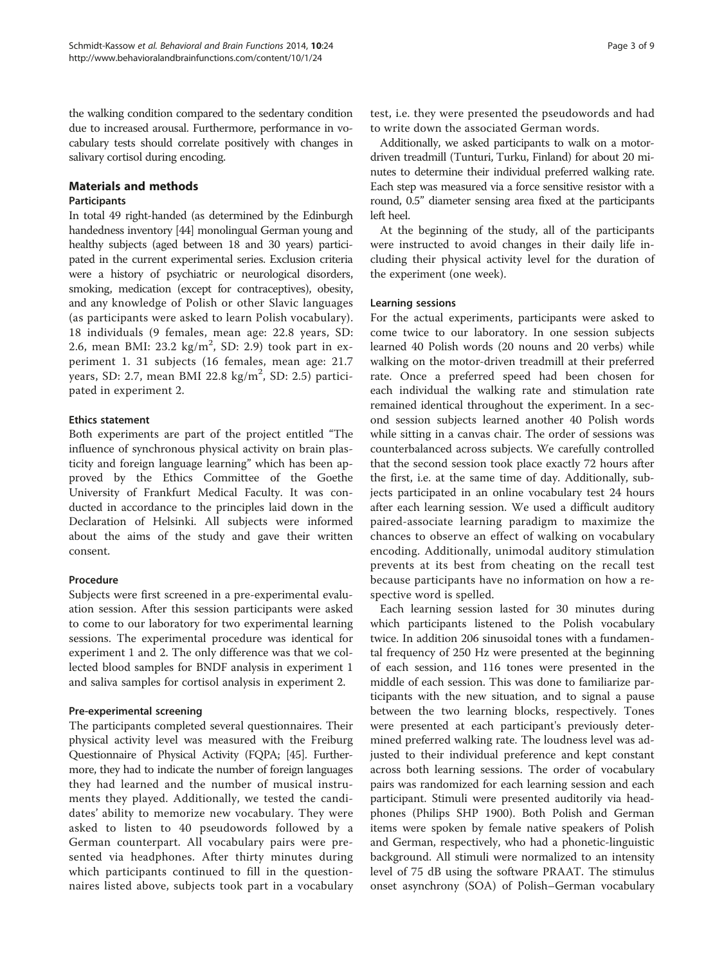the walking condition compared to the sedentary condition due to increased arousal. Furthermore, performance in vocabulary tests should correlate positively with changes in salivary cortisol during encoding.

# Materials and methods

# Participants

In total 49 right-handed (as determined by the Edinburgh handedness inventory [\[44\]](#page-8-0) monolingual German young and healthy subjects (aged between 18 and 30 years) participated in the current experimental series. Exclusion criteria were a history of psychiatric or neurological disorders, smoking, medication (except for contraceptives), obesity, and any knowledge of Polish or other Slavic languages (as participants were asked to learn Polish vocabulary). 18 individuals (9 females, mean age: 22.8 years, SD: 2.6, mean BMI: 23.2 kg/m<sup>2</sup>, SD: 2.9) took part in experiment 1. 31 subjects (16 females, mean age: 21.7 years, SD: 2.7, mean BMI 22.8 kg/m<sup>2</sup>, SD: 2.5) participated in experiment 2.

# Ethics statement

Both experiments are part of the project entitled "The influence of synchronous physical activity on brain plasticity and foreign language learning" which has been approved by the Ethics Committee of the Goethe University of Frankfurt Medical Faculty. It was conducted in accordance to the principles laid down in the Declaration of Helsinki. All subjects were informed about the aims of the study and gave their written consent.

# Procedure

Subjects were first screened in a pre-experimental evaluation session. After this session participants were asked to come to our laboratory for two experimental learning sessions. The experimental procedure was identical for experiment 1 and 2. The only difference was that we collected blood samples for BNDF analysis in experiment 1 and saliva samples for cortisol analysis in experiment 2.

# Pre-experimental screening

The participants completed several questionnaires. Their physical activity level was measured with the Freiburg Questionnaire of Physical Activity (FQPA; [\[45\]](#page-8-0). Furthermore, they had to indicate the number of foreign languages they had learned and the number of musical instruments they played. Additionally, we tested the candidates' ability to memorize new vocabulary. They were asked to listen to 40 pseudowords followed by a German counterpart. All vocabulary pairs were presented via headphones. After thirty minutes during which participants continued to fill in the questionnaires listed above, subjects took part in a vocabulary test, i.e. they were presented the pseudowords and had to write down the associated German words.

Additionally, we asked participants to walk on a motordriven treadmill (Tunturi, Turku, Finland) for about 20 minutes to determine their individual preferred walking rate. Each step was measured via a force sensitive resistor with a round, 0.5" diameter sensing area fixed at the participants left heel.

At the beginning of the study, all of the participants were instructed to avoid changes in their daily life including their physical activity level for the duration of the experiment (one week).

# Learning sessions

For the actual experiments, participants were asked to come twice to our laboratory. In one session subjects learned 40 Polish words (20 nouns and 20 verbs) while walking on the motor-driven treadmill at their preferred rate. Once a preferred speed had been chosen for each individual the walking rate and stimulation rate remained identical throughout the experiment. In a second session subjects learned another 40 Polish words while sitting in a canvas chair. The order of sessions was counterbalanced across subjects. We carefully controlled that the second session took place exactly 72 hours after the first, i.e. at the same time of day. Additionally, subjects participated in an online vocabulary test 24 hours after each learning session. We used a difficult auditory paired-associate learning paradigm to maximize the chances to observe an effect of walking on vocabulary encoding. Additionally, unimodal auditory stimulation prevents at its best from cheating on the recall test because participants have no information on how a respective word is spelled.

Each learning session lasted for 30 minutes during which participants listened to the Polish vocabulary twice. In addition 206 sinusoidal tones with a fundamental frequency of 250 Hz were presented at the beginning of each session, and 116 tones were presented in the middle of each session. This was done to familiarize participants with the new situation, and to signal a pause between the two learning blocks, respectively. Tones were presented at each participant's previously determined preferred walking rate. The loudness level was adjusted to their individual preference and kept constant across both learning sessions. The order of vocabulary pairs was randomized for each learning session and each participant. Stimuli were presented auditorily via headphones (Philips SHP 1900). Both Polish and German items were spoken by female native speakers of Polish and German, respectively, who had a phonetic-linguistic background. All stimuli were normalized to an intensity level of 75 dB using the software PRAAT. The stimulus onset asynchrony (SOA) of Polish–German vocabulary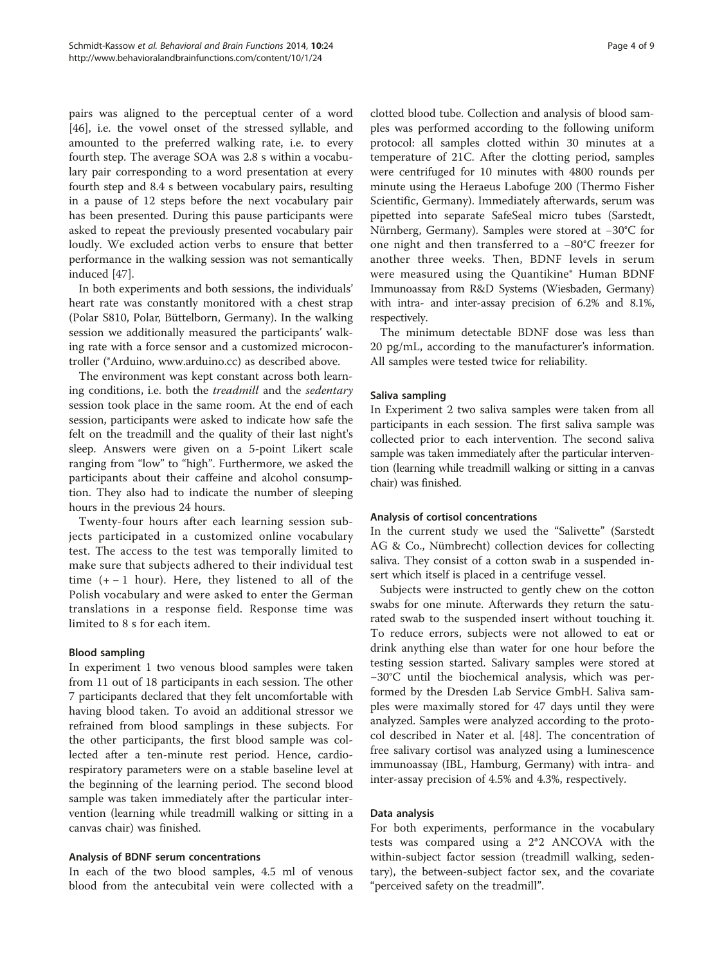pairs was aligned to the perceptual center of a word [[46\]](#page-8-0), i.e. the vowel onset of the stressed syllable, and amounted to the preferred walking rate, i.e. to every fourth step. The average SOA was 2.8 s within a vocabulary pair corresponding to a word presentation at every fourth step and 8.4 s between vocabulary pairs, resulting in a pause of 12 steps before the next vocabulary pair has been presented. During this pause participants were asked to repeat the previously presented vocabulary pair loudly. We excluded action verbs to ensure that better performance in the walking session was not semantically induced [\[47](#page-8-0)].

In both experiments and both sessions, the individuals' heart rate was constantly monitored with a chest strap (Polar S810, Polar, Büttelborn, Germany). In the walking session we additionally measured the participants' walking rate with a force sensor and a customized microcontroller (®Arduino, [www.arduino.cc\)](http://www.arduino.cc) as described above.

The environment was kept constant across both learning conditions, i.e. both the treadmill and the sedentary session took place in the same room. At the end of each session, participants were asked to indicate how safe the felt on the treadmill and the quality of their last night's sleep. Answers were given on a 5-point Likert scale ranging from "low" to "high". Furthermore, we asked the participants about their caffeine and alcohol consumption. They also had to indicate the number of sleeping hours in the previous 24 hours.

Twenty-four hours after each learning session subjects participated in a customized online vocabulary test. The access to the test was temporally limited to make sure that subjects adhered to their individual test time  $(+ - 1$  hour). Here, they listened to all of the Polish vocabulary and were asked to enter the German translations in a response field. Response time was limited to 8 s for each item.

### Blood sampling

In experiment 1 two venous blood samples were taken from 11 out of 18 participants in each session. The other 7 participants declared that they felt uncomfortable with having blood taken. To avoid an additional stressor we refrained from blood samplings in these subjects. For the other participants, the first blood sample was collected after a ten-minute rest period. Hence, cardiorespiratory parameters were on a stable baseline level at the beginning of the learning period. The second blood sample was taken immediately after the particular intervention (learning while treadmill walking or sitting in a canvas chair) was finished.

#### Analysis of BDNF serum concentrations

In each of the two blood samples, 4.5 ml of venous blood from the antecubital vein were collected with a

clotted blood tube. Collection and analysis of blood samples was performed according to the following uniform protocol: all samples clotted within 30 minutes at a temperature of 21C. After the clotting period, samples were centrifuged for 10 minutes with 4800 rounds per minute using the Heraeus Labofuge 200 (Thermo Fisher Scientific, Germany). Immediately afterwards, serum was pipetted into separate SafeSeal micro tubes (Sarstedt, Nürnberg, Germany). Samples were stored at −30°C for one night and then transferred to a −80°C freezer for another three weeks. Then, BDNF levels in serum were measured using the Quantikine® Human BDNF Immunoassay from R&D Systems (Wiesbaden, Germany) with intra- and inter-assay precision of 6.2% and 8.1%, respectively.

The minimum detectable BDNF dose was less than 20 pg/mL, according to the manufacturer's information. All samples were tested twice for reliability.

# Saliva sampling

In Experiment 2 two saliva samples were taken from all participants in each session. The first saliva sample was collected prior to each intervention. The second saliva sample was taken immediately after the particular intervention (learning while treadmill walking or sitting in a canvas chair) was finished.

#### Analysis of cortisol concentrations

In the current study we used the "Salivette" (Sarstedt AG & Co., Nümbrecht) collection devices for collecting saliva. They consist of a cotton swab in a suspended insert which itself is placed in a centrifuge vessel.

Subjects were instructed to gently chew on the cotton swabs for one minute. Afterwards they return the saturated swab to the suspended insert without touching it. To reduce errors, subjects were not allowed to eat or drink anything else than water for one hour before the testing session started. Salivary samples were stored at −30°C until the biochemical analysis, which was performed by the Dresden Lab Service GmbH. Saliva samples were maximally stored for 47 days until they were analyzed. Samples were analyzed according to the protocol described in Nater et al. [[48](#page-8-0)]. The concentration of free salivary cortisol was analyzed using a luminescence immunoassay (IBL, Hamburg, Germany) with intra- and inter-assay precision of 4.5% and 4.3%, respectively.

#### Data analysis

For both experiments, performance in the vocabulary tests was compared using a 2\*2 ANCOVA with the within-subject factor session (treadmill walking, sedentary), the between-subject factor sex, and the covariate "perceived safety on the treadmill".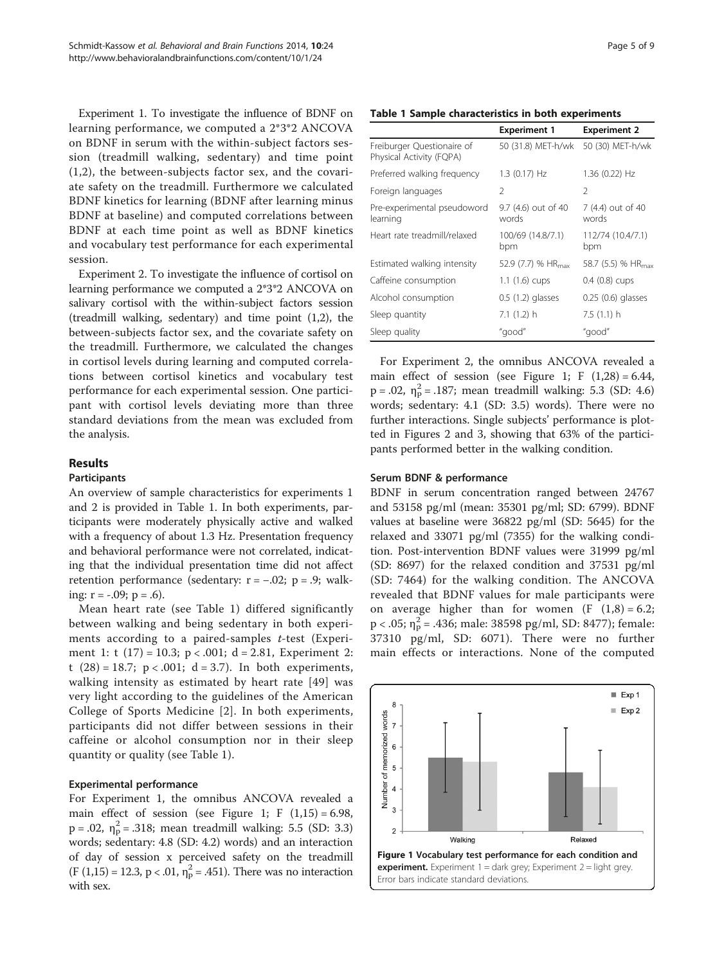Experiment 1. To investigate the influence of BDNF on learning performance, we computed a 2\*3\*2 ANCOVA on BDNF in serum with the within-subject factors session (treadmill walking, sedentary) and time point (1,2), the between-subjects factor sex, and the covariate safety on the treadmill. Furthermore we calculated BDNF kinetics for learning (BDNF after learning minus BDNF at baseline) and computed correlations between BDNF at each time point as well as BDNF kinetics and vocabulary test performance for each experimental session.

Experiment 2. To investigate the influence of cortisol on learning performance we computed a 2\*3\*2 ANCOVA on salivary cortisol with the within-subject factors session (treadmill walking, sedentary) and time point (1,2), the between-subjects factor sex, and the covariate safety on the treadmill. Furthermore, we calculated the changes in cortisol levels during learning and computed correlations between cortisol kinetics and vocabulary test performance for each experimental session. One participant with cortisol levels deviating more than three standard deviations from the mean was excluded from the analysis.

# Results

#### Participants

An overview of sample characteristics for experiments 1 and 2 is provided in Table 1. In both experiments, participants were moderately physically active and walked with a frequency of about 1.3 Hz. Presentation frequency and behavioral performance were not correlated, indicating that the individual presentation time did not affect retention performance (sedentary:  $r = -.02$ ;  $p = .9$ ; walking:  $r = -.09$ ;  $p = .6$ ).

Mean heart rate (see Table 1) differed significantly between walking and being sedentary in both experiments according to a paired-samples *t*-test (Experiment 1: t (17) = 10.3; p < .001; d = 2.81, Experiment 2: t  $(28) = 18.7$ ;  $p < .001$ ;  $d = 3.7$ ). In both experiments, walking intensity as estimated by heart rate [[49](#page-8-0)] was very light according to the guidelines of the American College of Sports Medicine [[2](#page-7-0)]. In both experiments, participants did not differ between sessions in their caffeine or alcohol consumption nor in their sleep quantity or quality (see Table 1).

# Experimental performance

For Experiment 1, the omnibus ANCOVA revealed a main effect of session (see Figure 1; F  $(1,15) = 6.98$ ,  $p = .02$ ,  $\eta_p^2 = .318$ ; mean treadmill walking: 5.5 (SD: 3.3) words; sedentary: 4.8 (SD: 4.2) words) and an interaction of day of session x perceived safety on the treadmill  $(F (1,15) = 12.3, p < .01, \eta_{p}^{2} = .451)$ . There was no interaction with sex.

#### Table 1 Sample characteristics in both experiments

|                                                        | <b>Experiment 1</b>            | <b>Experiment 2</b>            |
|--------------------------------------------------------|--------------------------------|--------------------------------|
| Freiburger Questionaire of<br>Physical Activity (FQPA) | 50 (31.8) MET-h/wk             | 50 (30) MET-h/wk               |
| Preferred walking frequency                            | $1.3$ (0.17) Hz                | $1.36(0.22)$ Hz                |
| Foreign languages                                      | 2                              | $\mathcal{P}$                  |
| Pre-experimental pseudoword<br>learning                | 9.7 (4.6) out of 40<br>words   | 7 (4.4) out of 40<br>words     |
| Heart rate treadmill/relaxed                           | 100/69 (14.8/7.1)<br>bpm       | 112/74 (10.4/7.1)<br>bpm       |
| Estimated walking intensity                            | 52.9 (7.7) % HR <sub>max</sub> | 58.7 (5.5) % HR <sub>max</sub> |
| Caffeine consumption                                   | $1.1$ $(1.6)$ cups             | $0.4$ $(0.8)$ cups             |
| Alcohol consumption                                    | $0.5(1.2)$ glasses             | $0.25(0.6)$ glasses            |
| Sleep quantity                                         | 7.1 (1.2) h                    | 7.5(1.1)h                      |
| Sleep quality                                          | "good"                         | "good"                         |

For Experiment 2, the omnibus ANCOVA revealed a main effect of session (see Figure 1; F  $(1,28) = 6.44$ , p = .02,  $\eta_p^2$  = .187; mean treadmill walking: 5.3 (SD: 4.6) words; sedentary: 4.1 (SD: 3.5) words). There were no further interactions. Single subjects' performance is plotted in Figures [2](#page-5-0) and [3,](#page-5-0) showing that 63% of the participants performed better in the walking condition.

#### Serum BDNF & performance

BDNF in serum concentration ranged between 24767 and 53158 pg/ml (mean: 35301 pg/ml; SD: 6799). BDNF values at baseline were 36822 pg/ml (SD: 5645) for the relaxed and 33071 pg/ml (7355) for the walking condition. Post-intervention BDNF values were 31999 pg/ml (SD: 8697) for the relaxed condition and 37531 pg/ml (SD: 7464) for the walking condition. The ANCOVA revealed that BDNF values for male participants were on average higher than for women  $(F (1,8) = 6.2;$ p < .05;  $\eta_{\rm p}^2$  = .436; male: 38598 pg/ml, SD: 8477); female: 37310 pg/ml, SD: 6071). There were no further main effects or interactions. None of the computed

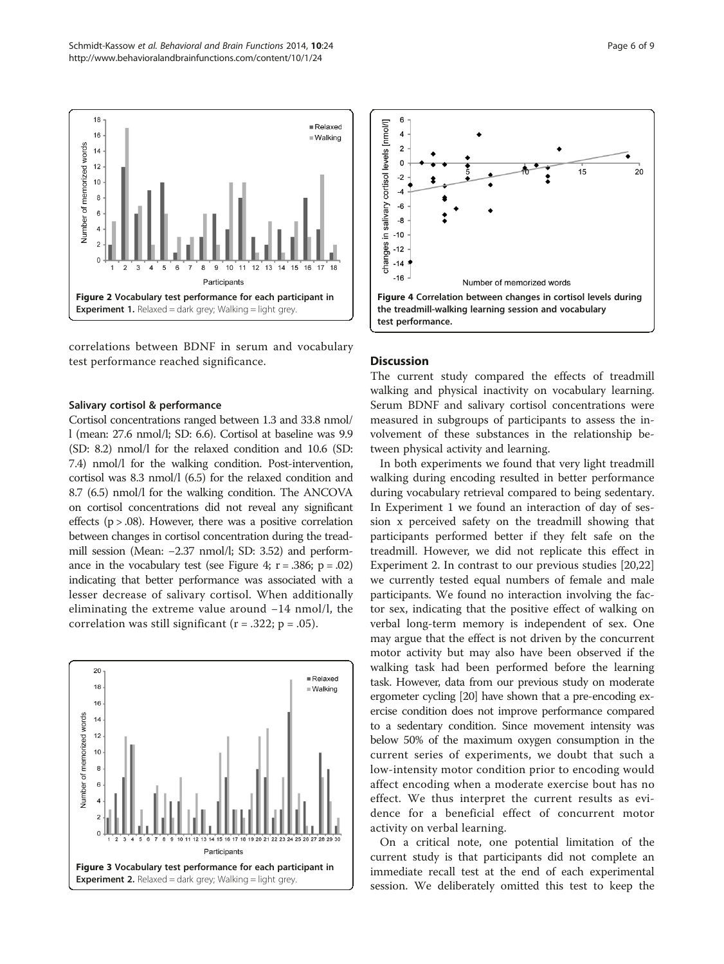<span id="page-5-0"></span>

correlations between BDNF in serum and vocabulary test performance reached significance.

#### Salivary cortisol & performance

Cortisol concentrations ranged between 1.3 and 33.8 nmol/ l (mean: 27.6 nmol/l; SD: 6.6). Cortisol at baseline was 9.9 (SD: 8.2) nmol/l for the relaxed condition and 10.6 (SD: 7.4) nmol/l for the walking condition. Post-intervention, cortisol was 8.3 nmol/l (6.5) for the relaxed condition and 8.7 (6.5) nmol/l for the walking condition. The ANCOVA on cortisol concentrations did not reveal any significant effects ( $p > .08$ ). However, there was a positive correlation between changes in cortisol concentration during the treadmill session (Mean: −2.37 nmol/l; SD: 3.52) and performance in the vocabulary test (see Figure 4;  $r = .386$ ;  $p = .02$ ) indicating that better performance was associated with a lesser decrease of salivary cortisol. When additionally eliminating the extreme value around −14 nmol/l, the correlation was still significant ( $r = .322$ ;  $p = .05$ ).





# **Discussion**

The current study compared the effects of treadmill walking and physical inactivity on vocabulary learning. Serum BDNF and salivary cortisol concentrations were measured in subgroups of participants to assess the involvement of these substances in the relationship between physical activity and learning.

In both experiments we found that very light treadmill walking during encoding resulted in better performance during vocabulary retrieval compared to being sedentary. In Experiment 1 we found an interaction of day of session x perceived safety on the treadmill showing that participants performed better if they felt safe on the treadmill. However, we did not replicate this effect in Experiment 2. In contrast to our previous studies [[20](#page-7-0),[22](#page-7-0)] we currently tested equal numbers of female and male participants. We found no interaction involving the factor sex, indicating that the positive effect of walking on verbal long-term memory is independent of sex. One may argue that the effect is not driven by the concurrent motor activity but may also have been observed if the walking task had been performed before the learning task. However, data from our previous study on moderate ergometer cycling [\[20](#page-7-0)] have shown that a pre-encoding exercise condition does not improve performance compared to a sedentary condition. Since movement intensity was below 50% of the maximum oxygen consumption in the current series of experiments, we doubt that such a low-intensity motor condition prior to encoding would affect encoding when a moderate exercise bout has no effect. We thus interpret the current results as evidence for a beneficial effect of concurrent motor activity on verbal learning.

On a critical note, one potential limitation of the current study is that participants did not complete an immediate recall test at the end of each experimental session. We deliberately omitted this test to keep the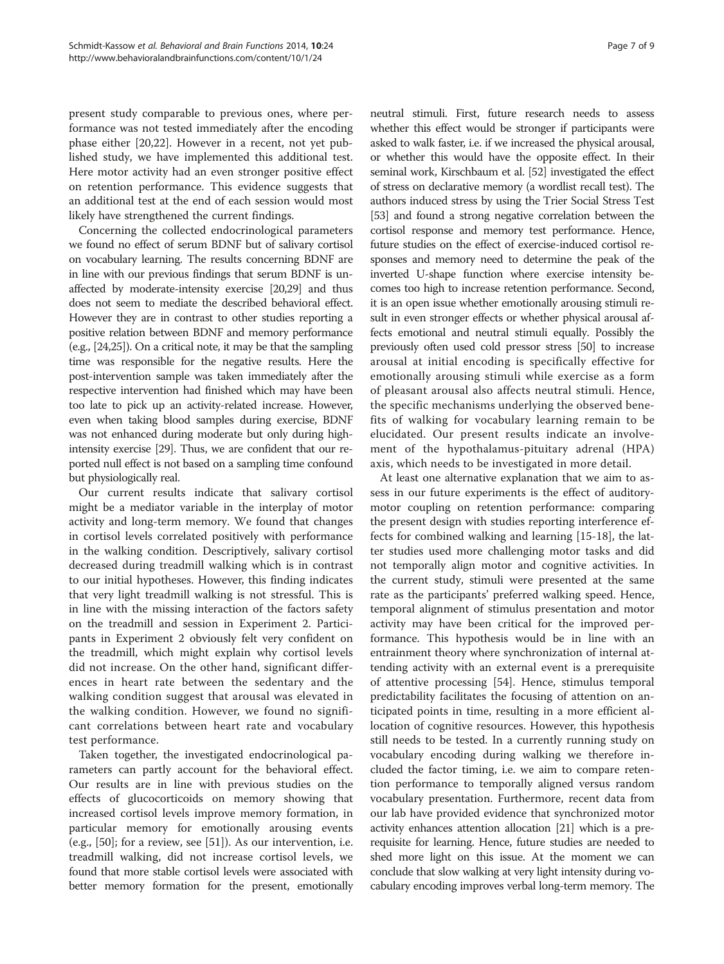present study comparable to previous ones, where performance was not tested immediately after the encoding phase either [\[20,22](#page-7-0)]. However in a recent, not yet published study, we have implemented this additional test. Here motor activity had an even stronger positive effect on retention performance. This evidence suggests that an additional test at the end of each session would most likely have strengthened the current findings.

Concerning the collected endocrinological parameters we found no effect of serum BDNF but of salivary cortisol on vocabulary learning. The results concerning BDNF are in line with our previous findings that serum BDNF is unaffected by moderate-intensity exercise [[20,29\]](#page-7-0) and thus does not seem to mediate the described behavioral effect. However they are in contrast to other studies reporting a positive relation between BDNF and memory performance (e.g., [[24,25\]](#page-7-0)). On a critical note, it may be that the sampling time was responsible for the negative results. Here the post-intervention sample was taken immediately after the respective intervention had finished which may have been too late to pick up an activity-related increase. However, even when taking blood samples during exercise, BDNF was not enhanced during moderate but only during highintensity exercise [\[29\]](#page-7-0). Thus, we are confident that our reported null effect is not based on a sampling time confound but physiologically real.

Our current results indicate that salivary cortisol might be a mediator variable in the interplay of motor activity and long-term memory. We found that changes in cortisol levels correlated positively with performance in the walking condition. Descriptively, salivary cortisol decreased during treadmill walking which is in contrast to our initial hypotheses. However, this finding indicates that very light treadmill walking is not stressful. This is in line with the missing interaction of the factors safety on the treadmill and session in Experiment 2. Participants in Experiment 2 obviously felt very confident on the treadmill, which might explain why cortisol levels did not increase. On the other hand, significant differences in heart rate between the sedentary and the walking condition suggest that arousal was elevated in the walking condition. However, we found no significant correlations between heart rate and vocabulary test performance.

Taken together, the investigated endocrinological parameters can partly account for the behavioral effect. Our results are in line with previous studies on the effects of glucocorticoids on memory showing that increased cortisol levels improve memory formation, in particular memory for emotionally arousing events (e.g., [[50](#page-8-0)]; for a review, see [[51\]](#page-8-0)). As our intervention, i.e. treadmill walking, did not increase cortisol levels, we found that more stable cortisol levels were associated with better memory formation for the present, emotionally

neutral stimuli. First, future research needs to assess whether this effect would be stronger if participants were asked to walk faster, i.e. if we increased the physical arousal, or whether this would have the opposite effect. In their seminal work, Kirschbaum et al. [[52](#page-8-0)] investigated the effect of stress on declarative memory (a wordlist recall test). The authors induced stress by using the Trier Social Stress Test [[53](#page-8-0)] and found a strong negative correlation between the cortisol response and memory test performance. Hence, future studies on the effect of exercise-induced cortisol responses and memory need to determine the peak of the inverted U-shape function where exercise intensity becomes too high to increase retention performance. Second, it is an open issue whether emotionally arousing stimuli result in even stronger effects or whether physical arousal affects emotional and neutral stimuli equally. Possibly the previously often used cold pressor stress [[50](#page-8-0)] to increase arousal at initial encoding is specifically effective for emotionally arousing stimuli while exercise as a form of pleasant arousal also affects neutral stimuli. Hence, the specific mechanisms underlying the observed benefits of walking for vocabulary learning remain to be elucidated. Our present results indicate an involvement of the hypothalamus-pituitary adrenal (HPA) axis, which needs to be investigated in more detail.

At least one alternative explanation that we aim to assess in our future experiments is the effect of auditorymotor coupling on retention performance: comparing the present design with studies reporting interference effects for combined walking and learning [\[15](#page-7-0)-[18\]](#page-7-0), the latter studies used more challenging motor tasks and did not temporally align motor and cognitive activities. In the current study, stimuli were presented at the same rate as the participants' preferred walking speed. Hence, temporal alignment of stimulus presentation and motor activity may have been critical for the improved performance. This hypothesis would be in line with an entrainment theory where synchronization of internal attending activity with an external event is a prerequisite of attentive processing [[54\]](#page-8-0). Hence, stimulus temporal predictability facilitates the focusing of attention on anticipated points in time, resulting in a more efficient allocation of cognitive resources. However, this hypothesis still needs to be tested. In a currently running study on vocabulary encoding during walking we therefore included the factor timing, i.e. we aim to compare retention performance to temporally aligned versus random vocabulary presentation. Furthermore, recent data from our lab have provided evidence that synchronized motor activity enhances attention allocation [\[21\]](#page-7-0) which is a prerequisite for learning. Hence, future studies are needed to shed more light on this issue. At the moment we can conclude that slow walking at very light intensity during vocabulary encoding improves verbal long-term memory. The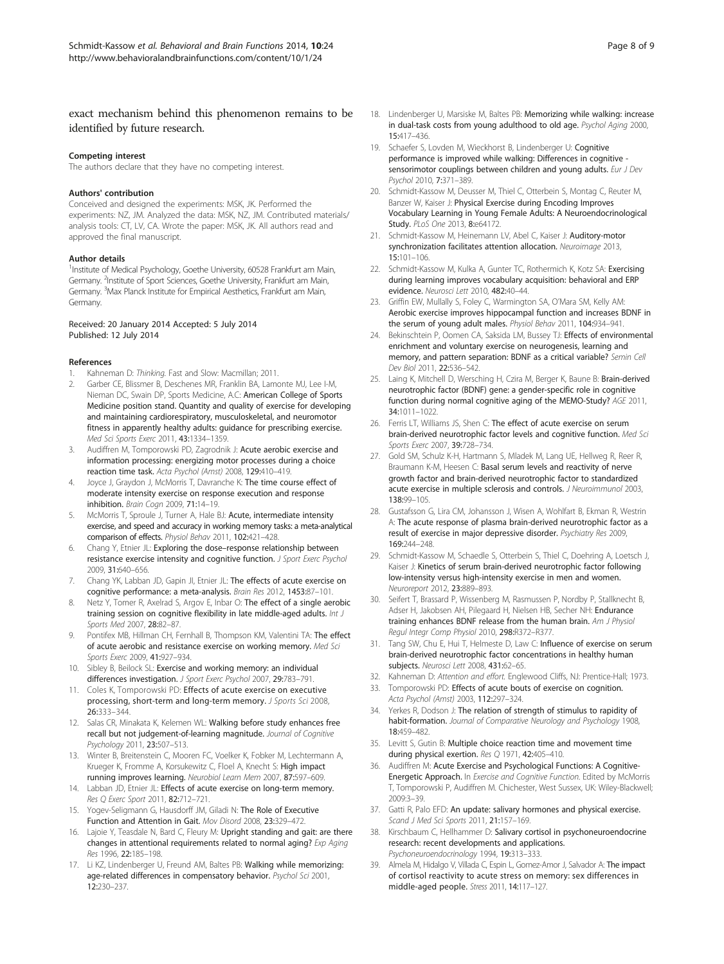# <span id="page-7-0"></span>exact mechanism behind this phenomenon remains to be identified by future research.

#### Competing interest

The authors declare that they have no competing interest.

#### Authors' contribution

Conceived and designed the experiments: MSK, JK. Performed the experiments: NZ, JM. Analyzed the data: MSK, NZ, JM. Contributed materials/ analysis tools: CT, LV, CA. Wrote the paper: MSK, JK. All authors read and approved the final manuscript.

#### Author details

<sup>1</sup>Institute of Medical Psychology, Goethe University, 60528 Frankfurt am Main, Germany. <sup>2</sup>Institute of Sport Sciences, Goethe University, Frankfurt am Main, Germany. <sup>3</sup>Max Planck Institute for Empirical Aesthetics, Frankfurt am Main, Germany.

#### Received: 20 January 2014 Accepted: 5 July 2014 Published: 12 July 2014

#### References

- Kahneman D: Thinking. Fast and Slow: Macmillan; 2011.
- 2. Garber CE, Blissmer B, Deschenes MR, Franklin BA, Lamonte MJ, Lee I-M, Nieman DC, Swain DP, Sports Medicine, A.C: American College of Sports Medicine position stand. Quantity and quality of exercise for developing and maintaining cardiorespiratory, musculoskeletal, and neuromotor fitness in apparently healthy adults: guidance for prescribing exercise. Med Sci Sports Exerc 2011, 43:1334–1359.
- Audiffren M, Tomporowski PD, Zagrodnik J: Acute aerobic exercise and information processing: energizing motor processes during a choice reaction time task. Acta Psychol (Amst) 2008, 129:410–419.
- Joyce J, Graydon J, McMorris T, Davranche K: The time course effect of moderate intensity exercise on response execution and response inhibition. Brain Cogn 2009, 71:14–19.
- 5. McMorris T, Sproule J, Turner A, Hale BJ: Acute, intermediate intensity exercise, and speed and accuracy in working memory tasks: a meta-analytical comparison of effects. Physiol Behav 2011, 102:421–428.
- 6. Chang Y, Etnier JL: Exploring the dose–response relationship between resistance exercise intensity and cognitive function. J Sport Exerc Psychol 2009, 31:640–656.
- 7. Chang YK, Labban JD, Gapin JI, Etnier JL: The effects of acute exercise on cognitive performance: a meta-analysis. Brain Res 2012, 1453:87–101.
- Netz Y, Tomer R, Axelrad S, Argov E, Inbar O: The effect of a single aerobic training session on cognitive flexibility in late middle-aged adults. Int J Sports Med 2007, 28:82–87.
- Pontifex MB, Hillman CH, Fernhall B, Thompson KM, Valentini TA: The effect of acute aerobic and resistance exercise on working memory. Med Sci Sports Exerc 2009, 41:927–934.
- 10. Sibley B, Beilock SL: Exercise and working memory: an individual differences investigation. J Sport Exerc Psychol 2007, 29:783-791.
- 11. Coles K, Tomporowski PD: Effects of acute exercise on executive processing, short-term and long-term memory. J Sports Sci 2008, 26:333–344.
- 12. Salas CR, Minakata K, Kelemen WL: Walking before study enhances free recall but not judgement-of-learning magnitude. Journal of Cognitive Psychology 2011, 23:507–513.
- 13. Winter B, Breitenstein C, Mooren FC, Voelker K, Fobker M, Lechtermann A, Krueger K, Fromme A, Korsukewitz C, Floel A, Knecht S: High impact running improves learning. Neurobiol Learn Mem 2007, 87:597–609.
- 14. Labban JD, Etnier JL: Effects of acute exercise on long-term memory. Res Q Exerc Sport 2011, 82:712–721.
- 15. Yogev-Seligmann G, Hausdorff JM, Giladi N: The Role of Executive Function and Attention in Gait. Mov Disord 2008, 23:329–472.
- 16. Lajoie Y, Teasdale N, Bard C, Fleury M: Upright standing and gait: are there changes in attentional requirements related to normal aging? Exp Aging Res 1996, 22:185–198.
- 17. Li KZ, Lindenberger U, Freund AM, Baltes PB: Walking while memorizing: age-related differences in compensatory behavior. Psychol Sci 2001, 12:230–237.
- 18. Lindenberger U, Marsiske M, Baltes PB: Memorizing while walking: increase in dual-task costs from young adulthood to old age. Psychol Aging 2000, 15:417–436.
- 19. Schaefer S, Lovden M, Wieckhorst B, Lindenberger U: Cognitive performance is improved while walking: Differences in cognitive sensorimotor couplings between children and young adults. Eur J Dev Psychol 2010, 7:371–389.
- 20. Schmidt-Kassow M, Deusser M, Thiel C, Otterbein S, Montag C, Reuter M, Banzer W, Kaiser J: Physical Exercise during Encoding Improves Vocabulary Learning in Young Female Adults: A Neuroendocrinological Study. PLoS One 2013, 8:e64172.
- 21. Schmidt-Kassow M, Heinemann LV, Abel C, Kaiser J: Auditory-motor synchronization facilitates attention allocation. Neuroimage 2013, 15:101–106.
- 22. Schmidt-Kassow M, Kulka A, Gunter TC, Rothermich K, Kotz SA: Exercising during learning improves vocabulary acquisition: behavioral and ERP evidence. Neurosci Lett 2010, 482:40–44.
- 23. Griffin EW, Mullally S, Foley C, Warmington SA, O'Mara SM, Kelly AM: Aerobic exercise improves hippocampal function and increases BDNF in the serum of young adult males. Physiol Behav 2011, 104:934–941.
- 24. Bekinschtein P, Oomen CA, Saksida LM, Bussey TJ: Effects of environmental enrichment and voluntary exercise on neurogenesis, learning and memory, and pattern separation: BDNF as a critical variable? Semin Cell Dev Biol 2011, 22:536–542.
- 25. Laing K, Mitchell D, Wersching H, Czira M, Berger K, Baune B: Brain-derived neurotrophic factor (BDNF) gene: a gender-specific role in cognitive function during normal cognitive aging of the MEMO-Study? AGE 2011, 34:1011–1022.
- 26. Ferris LT, Williams JS, Shen C: The effect of acute exercise on serum brain-derived neurotrophic factor levels and cognitive function. Med Sci Sports Exerc 2007, 39:728–734.
- 27. Gold SM, Schulz K-H, Hartmann S, Mladek M, Lang UE, Hellweg R, Reer R, Braumann K-M, Heesen C: Basal serum levels and reactivity of nerve growth factor and brain-derived neurotrophic factor to standardized acute exercise in multiple sclerosis and controls. J Neuroimmunol 2003, 138:99–105.
- 28. Gustafsson G, Lira CM, Johansson J, Wisen A, Wohlfart B, Ekman R, Westrin A: The acute response of plasma brain-derived neurotrophic factor as a result of exercise in major depressive disorder. Psychiatry Res 2009, 169:244–248.
- 29. Schmidt-Kassow M, Schaedle S, Otterbein S, Thiel C, Doehring A, Loetsch J, Kaiser J: Kinetics of serum brain-derived neurotrophic factor following low-intensity versus high-intensity exercise in men and women. Neuroreport 2012, 23:889–893.
- 30. Seifert T, Brassard P, Wissenberg M, Rasmussen P, Nordby P, Stallknecht B, Adser H, Jakobsen AH, Pilegaard H, Nielsen HB, Secher NH: Endurance training enhances BDNF release from the human brain. Am J Physiol Regul Integr Comp Physiol 2010, 298:R372–R377.
- 31. Tang SW, Chu E, Hui T, Helmeste D, Law C: Influence of exercise on serum brain-derived neurotrophic factor concentrations in healthy human subjects. Neurosci Lett 2008, 431:62-65.
- 32. Kahneman D: Attention and effort. Englewood Cliffs, NJ: Prentice-Hall; 1973.
- Tomporowski PD: Effects of acute bouts of exercise on cognition. Acta Psychol (Amst) 2003, 112:297–324.
- 34. Yerkes R, Dodson J: The relation of strength of stimulus to rapidity of habit-formation. Journal of Comparative Neurology and Psychology 1908, 18:459–482.
- 35. Levitt S, Gutin B: Multiple choice reaction time and movement time during physical exertion. Res Q 1971, 42:405-410.
- 36. Audiffren M: Acute Exercise and Psychological Functions: A Cognitive-Energetic Approach. In Exercise and Cognitive Function. Edited by McMorris T, Tomporowski P, Audiffren M. Chichester, West Sussex, UK: Wiley-Blackwell; 2009:3–39.
- 37. Gatti R, Palo EFD: An update: salivary hormones and physical exercise. Scand J Med Sci Sports 2011, 21:157–169.
- 38. Kirschbaum C, Hellhammer D: Salivary cortisol in psychoneuroendocrine research: recent developments and applications. Psychoneuroendocrinology 1994, 19:313–333.
- 39. Almela M, Hidalgo V, Villada C, Espin L, Gomez-Amor J, Salvador A: The impact of cortisol reactivity to acute stress on memory: sex differences in middle-aged people. Stress 2011, 14:117–127.